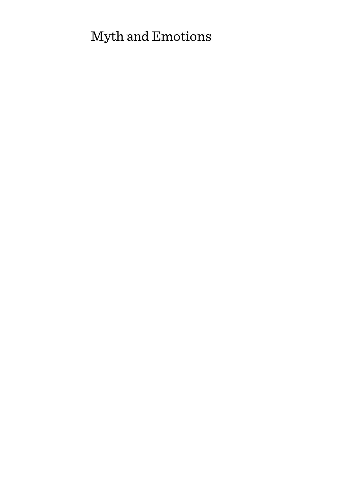# Myth and Emotions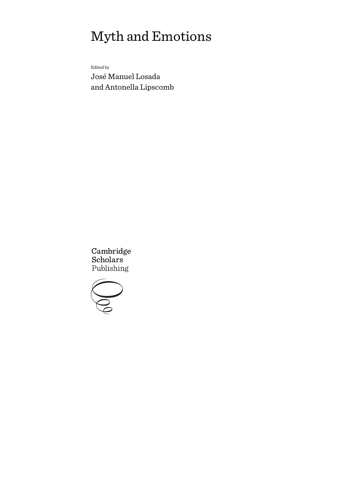# Myth and Emotions

Edited by

José Manuel Losada and Antonella Lipscomb

Cambridge Scholars Publishing

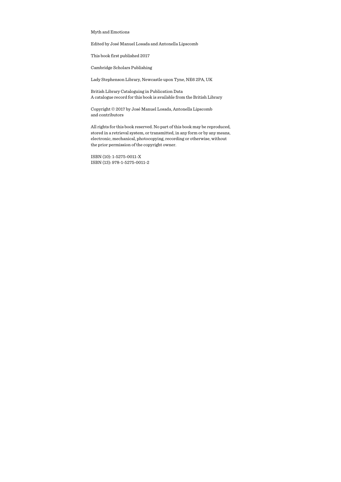Myth and Emotions

Edited by José Manuel Losada and Antonella Lipscomb

This book first published 2017

Cambridge Scholars Publishing

Lady Stephenson Library, Newcastle upon Tyne, NE6 2PA, UK

British Library Cataloguing in Publication Data A catalogue record for this book is available from the British Library

Copyright © 2017 by José Manuel Losada, Antonella Lipscomb and contributors

All rights for this book reserved. No part of this book may be reproduced, stored in a retrieval system, or transmitted, in any form or by any means, electronic, mechanical, photocopying, recording or otherwise, without the prior permission of the copyright owner.

ISBN (10): 1-5275-0011-X ISBN (13): 978-1-5275-0011-2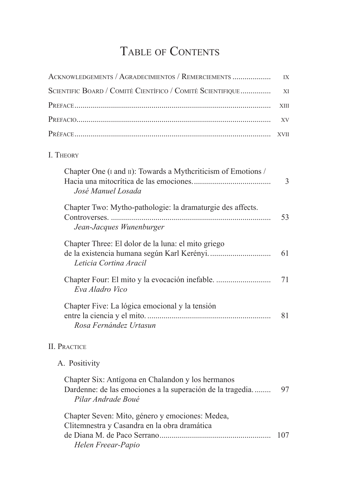# TABLE OF CONTENTS

| ACKNOWLEDGEMENTS / AGRADECIMIENTOS / REMERCIEMENTS                                                                                   | IX          |  |
|--------------------------------------------------------------------------------------------------------------------------------------|-------------|--|
| SCIENTIFIC BOARD / COMITÉ CIENTÍFICO / COMITÉ SCIENTIFIQUE                                                                           |             |  |
|                                                                                                                                      | XIII        |  |
|                                                                                                                                      | XV          |  |
|                                                                                                                                      | <b>XVII</b> |  |
| I. THEORY                                                                                                                            |             |  |
| Chapter One (I and II): Towards a Mythcriticism of Emotions /<br>José Manuel Losada                                                  | 3           |  |
| Chapter Two: Mytho-pathologie: la dramaturgie des affects.<br>Jean-Jacques Wunenburger                                               | 53          |  |
| Chapter Three: El dolor de la luna: el mito griego<br>Leticia Cortina Aracil                                                         | 61          |  |
| Eva Aladro Vico                                                                                                                      | 71          |  |
| Chapter Five: La lógica emocional y la tensión<br>Rosa Fernández Urtasun                                                             | 81          |  |
| <b>II. PRACTICE</b>                                                                                                                  |             |  |
| A. Positivity                                                                                                                        |             |  |
| Chapter Six: Antígona en Chalandon y los hermanos<br>Dardenne: de las emociones a la superación de la tragedia<br>Pilar Andrade Boué | 97          |  |
| Chapter Seven: Mito, género y emociones: Medea,<br>Clitemnestra y Casandra en la obra dramática<br>Helen Freear-Papio                | 107         |  |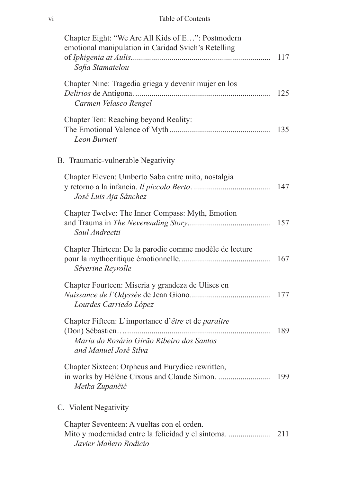#### vi Table of Contents

| Chapter Eight: "We Are All Kids of E": Postmodern<br>emotional manipulation in Caridad Svich's Retelling<br>Sofia Stamatelou | 117 |
|------------------------------------------------------------------------------------------------------------------------------|-----|
| Chapter Nine: Tragedia griega y devenir mujer en los<br>Carmen Velasco Rengel                                                | 125 |
| Chapter Ten: Reaching beyond Reality:<br><b>Leon Burnett</b>                                                                 | 135 |
| B. Traumatic-vulnerable Negativity                                                                                           |     |
| Chapter Eleven: Umberto Saba entre mito, nostalgia<br>José Luis Aja Sánchez                                                  | 147 |
| Chapter Twelve: The Inner Compass: Myth, Emotion<br>Saul Andreetti                                                           | 157 |
| Chapter Thirteen: De la parodie comme modèle de lecture<br>Séverine Reyrolle                                                 | 167 |
| Chapter Fourteen: Miseria y grandeza de Ulises en<br>Lourdes Carriedo López                                                  | 177 |
| Chapter Fifteen: L'importance d'être et de paraître<br>Maria do Rosário Girão Ribeiro dos Santos<br>and Manuel José Silva    | 189 |
| Chapter Sixteen: Orpheus and Eurydice rewritten,<br>Metka Zupančič                                                           | 199 |
| C. Violent Negativity                                                                                                        |     |
| Chapter Seventeen: A vueltas con el orden.<br>Javier Mañero Rodicio                                                          |     |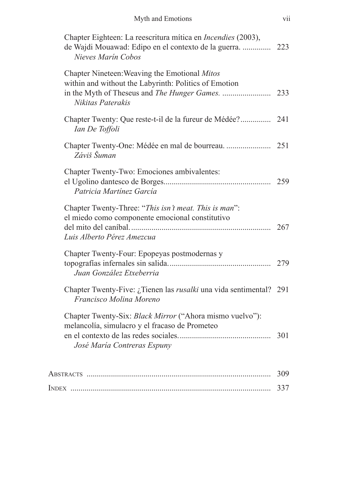| Chapter Eighteen: La reescritura mítica en Incendies (2003),<br>de Wajdi Mouawad: Edipo en el contexto de la guerra.<br>Nieves Marín Cobos | 223 |
|--------------------------------------------------------------------------------------------------------------------------------------------|-----|
| Chapter Nineteen: Weaving the Emotional Mitos<br>within and without the Labyrinth: Politics of Emotion<br>Nikitas Paterakis                |     |
| Chapter Twenty: Que reste-t-il de la fureur de Médée?<br>Ian De Toffoli                                                                    | 241 |
| Záviš Šuman                                                                                                                                |     |
| Chapter Twenty-Two: Emociones ambivalentes:<br>Patricia Martínez García                                                                    | 259 |
| Chapter Twenty-Three: "This isn't meat. This is man":<br>el miedo como componente emocional constitutivo<br>Luis Alberto Pérez Amezcua     | 267 |
| Chapter Twenty-Four: Epopeyas postmodernas y<br>Juan González Etxeberria                                                                   | 279 |
| Chapter Twenty-Five: ¿Tienen las rusalki una vida sentimental? 291<br>Francisco Molina Moreno                                              |     |
| Chapter Twenty-Six: Black Mirror ("Ahora mismo vuelvo"):<br>melancolía, simulacro y el fracaso de Prometeo<br>José María Contreras Espuny  | 301 |
|                                                                                                                                            | 309 |
|                                                                                                                                            | 337 |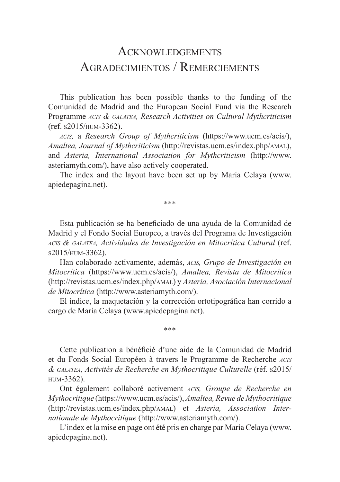# ACKNOWLEDGEMENTS Agradecimientos / Remerciements

This publication has been possible thanks to the funding of the Comunidad de Madrid and the European Social Fund via the Research Programme *acis & galatea, Research Activities on Cultural Mythcriticism* (ref. s2015/hum-3362).

*acis,* a *Research Group of Mythcriticism* (https://www.ucm.es/acis/), *Amaltea, Journal of Mythcriticism* (http://revistas.ucm.es/index.php/amal), and *Asteria, International Association for Mythcriticism* (http://www. asteriamyth.com/), have also actively cooperated.

The index and the layout have been set up by María Celaya (www. apiedepagina.net).

\*\*\*

Esta publicación se ha beneficiado de una ayuda de la Comunidad de Madrid y el Fondo Social Europeo, a través del Programa de Investigación *acis & galatea, Actividades de Investigación en Mitocrítica Cultural* (ref. <sup>s</sup>2015/hum-3362).

Han colaborado activamente, además, *acis, Grupo de Investigación en Mitocrítica* (https://www.ucm.es/acis/), *Amaltea, Revista de Mitocrítica* (http://revistas.ucm.es/index.php/amal) y *Asteria, Asociación Internacional de Mitocrítica* (http://www.asteriamyth.com/).

El índice, la maquetación y la corrección ortotipográfica han corrido a cargo de María Celaya (www.apiedepagina.net).

\*\*\*

Cette publication a bénéficié d'une aide de la Comunidad de Madrid et du Fonds Social Européen à travers le Programme de Recherche *acis & galatea, Activités de Recherche en Mythocritique Culturelle* (réf. s2015/  $HIM-3362$ ).

Ont également collaboré activement *acis, Groupe de Recherche en Mythocritique* (https://www.ucm.es/acis/), *Amaltea, Revue de Mythocritique* (http://revistas.ucm.es/index.php/amal) et *Asteria, Association Internationale de Mythocritique* (http://www.asteriamyth.com/).

L'index et la mise en page ont été pris en charge par María Celaya (www. apiedepagina.net).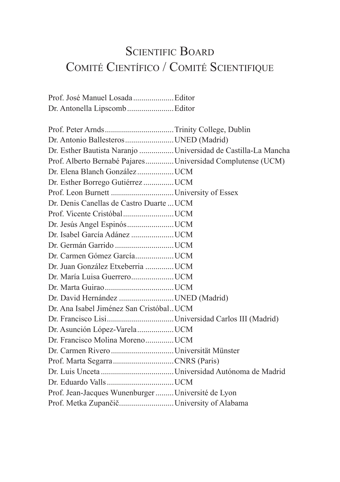# SCIENTIFIC BOARD Comité Científico / Comité Scientifique

| Dr. Antonella LipscombEditor |  |
|------------------------------|--|

| Dr. Antonio Ballesteros UNED (Madrid)                          |  |
|----------------------------------------------------------------|--|
| Dr. Esther Bautista Naranjo  Universidad de Castilla-La Mancha |  |
| Prof. Alberto Bernabé Pajares Universidad Complutense (UCM)    |  |
|                                                                |  |
| Dr. Esther Borrego Gutiérrez  UCM                              |  |
|                                                                |  |
| Dr. Denis Canellas de Castro Duarte  UCM                       |  |
|                                                                |  |
|                                                                |  |
|                                                                |  |
|                                                                |  |
|                                                                |  |
| Dr. Juan González Etxeberria  UCM                              |  |
|                                                                |  |
|                                                                |  |
| Dr. David Hernández  UNED (Madrid)                             |  |
| Dr. Ana Isabel Jiménez San Cristóbal. UCM                      |  |
|                                                                |  |
|                                                                |  |
| Dr. Francisco Molina MorenoUCM                                 |  |
|                                                                |  |
|                                                                |  |
|                                                                |  |
|                                                                |  |
| Prof. Jean-Jacques Wunenburger  Université de Lyon             |  |
| Prof. Metka ZupančičUniversity of Alabama                      |  |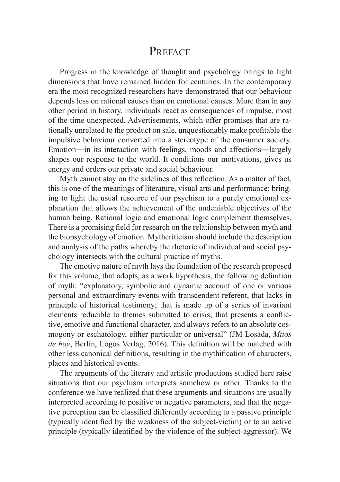## PREFACE

Progress in the knowledge of thought and psychology brings to light dimensions that have remained hidden for centuries. In the contemporary era the most recognized researchers have demonstrated that our behaviour depends less on rational causes than on emotional causes. More than in any other period in history, individuals react as consequences of impulse, most of the time unexpected. Advertisements, which offer promises that are rationally unrelated to the product on sale, unquestionably make profitable the impulsive behaviour converted into a stereotype of the consumer society. Emotion―in its interaction with feelings, moods and affections―largely shapes our response to the world. It conditions our motivations, gives us energy and orders our private and social behaviour.

Myth cannot stay on the sidelines of this reflection. As a matter of fact, this is one of the meanings of literature, visual arts and performance: bringing to light the usual resource of our psychism to a purely emotional explanation that allows the achievement of the undeniable objectives of the human being. Rational logic and emotional logic complement themselves. There is a promising field for research on the relationship between myth and the biopsychology of emotion. Mythcriticism should include the description and analysis of the paths whereby the rhetoric of individual and social psychology intersects with the cultural practice of myths.

The emotive nature of myth lays the foundation of the research proposed for this volume, that adopts, as a work hypothesis, the following definition of myth: "explanatory, symbolic and dynamic account of one or various personal and extraordinary events with transcendent referent, that lacks in principle of historical testimony; that is made up of a series of invariant elements reducible to themes submitted to crisis; that presents a conflictive, emotive and functional character, and always refers to an absolute cosmogony or eschatology, either particular or universal" (JM Losada, *Mitos de hoy*, Berlin, Logos Verlag, 2016). This definition will be matched with other less canonical definitions, resulting in the mythification of characters, places and historical events.

The arguments of the literary and artistic productions studied here raise situations that our psychism interprets somehow or other. Thanks to the conference we have realized that these arguments and situations are usually interpreted according to positive or negative parameters, and that the negative perception can be classified differently according to a passive principle (typically identified by the weakness of the subject-victim) or to an active principle (typically identified by the violence of the subject-aggressor). We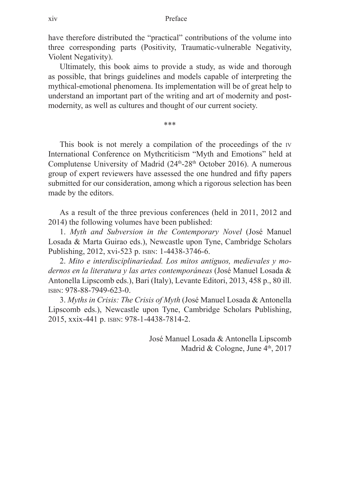have therefore distributed the "practical" contributions of the volume into three corresponding parts (Positivity, Traumatic-vulnerable Negativity, Violent Negativity).

Ultimately, this book aims to provide a study, as wide and thorough as possible, that brings guidelines and models capable of interpreting the mythical-emotional phenomena. Its implementation will be of great help to understand an important part of the writing and art of modernity and postmodernity, as well as cultures and thought of our current society.

\*\*\*

This book is not merely a compilation of the proceedings of the iv International Conference on Mythcriticism "Myth and Emotions" held at Complutense University of Madrid  $(24<sup>th</sup>-28<sup>th</sup>$  October 2016). A numerous group of expert reviewers have assessed the one hundred and fifty papers submitted for our consideration, among which a rigorous selection has been made by the editors.

As a result of the three previous conferences (held in 2011, 2012 and 2014) the following volumes have been published:

1. *Myth and Subversion in the Contemporary Novel* (José Manuel Losada & Marta Guirao eds.), Newcastle upon Tyne, Cambridge Scholars Publishing, 2012, xvi-523 p. isbn: 1-4438-3746-6.

2. *Mito e interdisciplinariedad. Los mitos antiguos, medievales y modernos en la literatura y las artes contemporáneas* (José Manuel Losada & Antonella Lipscomb eds.), Bari (Italy), Levante Editori, 2013, 458 p., 80 ill. isbn: 978-88-7949-623-0.

3. *Myths in Crisis: The Crisis of Myth* (José Manuel Losada & Antonella Lipscomb eds.), Newcastle upon Tyne, Cambridge Scholars Publishing, 2015, xxix-441 p. isbn: 978-1-4438-7814-2.

> José Manuel Losada & Antonella Lipscomb Madrid & Cologne, June 4th, 2017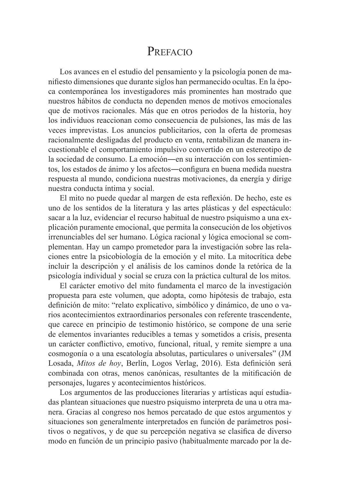## PREFACIO

Los avances en el estudio del pensamiento y la psicología ponen de manifiesto dimensiones que durante siglos han permanecido ocultas. En la época contemporánea los investigadores más prominentes han mostrado que nuestros hábitos de conducta no dependen menos de motivos emocionales que de motivos racionales. Más que en otros periodos de la historia, hoy los individuos reaccionan como consecuencia de pulsiones, las más de las veces imprevistas. Los anuncios publicitarios, con la oferta de promesas racionalmente desligadas del producto en venta, rentabilizan de manera incuestionable el comportamiento impulsivo convertido en un estereotipo de la sociedad de consumo. La emoción―en su interacción con los sentimientos, los estados de ánimo y los afectos―configura en buena medida nuestra respuesta al mundo, condiciona nuestras motivaciones, da energía y dirige nuestra conducta íntima y social.

El mito no puede quedar al margen de esta reflexión. De hecho, este es uno de los sentidos de la literatura y las artes plásticas y del espectáculo: sacar a la luz, evidenciar el recurso habitual de nuestro psiquismo a una explicación puramente emocional, que permita la consecución de los objetivos irrenunciables del ser humano. Lógica racional y lógica emocional se complementan. Hay un campo prometedor para la investigación sobre las relaciones entre la psicobiología de la emoción y el mito. La mitocrítica debe incluir la descripción y el análisis de los caminos donde la retórica de la psicología individual y social se cruza con la práctica cultural de los mitos.

El carácter emotivo del mito fundamenta el marco de la investigación propuesta para este volumen, que adopta, como hipótesis de trabajo, esta definición de mito: "relato explicativo, simbólico y dinámico, de uno o varios acontecimientos extraordinarios personales con referente trascendente, que carece en principio de testimonio histórico, se compone de una serie de elementos invariantes reducibles a temas y sometidos a crisis, presenta un carácter conflictivo, emotivo, funcional, ritual, y remite siempre a una cosmogonía o a una escatología absolutas, particulares o universales" (JM Losada, *Mitos de hoy*, Berlín, Logos Verlag, 2016). Esta definición será combinada con otras, menos canónicas, resultantes de la mitificación de personajes, lugares y acontecimientos históricos.

Los argumentos de las producciones literarias y artísticas aquí estudiadas plantean situaciones que nuestro psiquismo interpreta de una u otra manera. Gracias al congreso nos hemos percatado de que estos argumentos y situaciones son generalmente interpretados en función de parámetros positivos o negativos, y de que su percepción negativa se clasifica de diverso modo en función de un principio pasivo (habitualmente marcado por la de-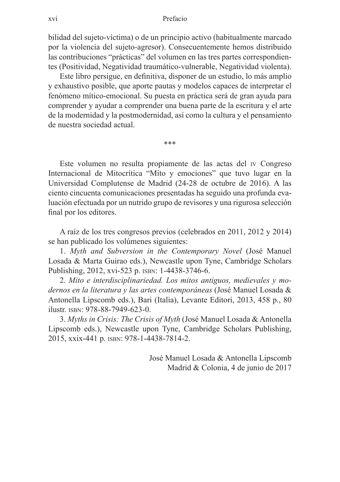bilidad del sujeto-víctima) o de un principio activo (habitualmente marcado por la violencia del sujeto-agresor). Consecuentemente hemos distribuido las contribuciones "prácticas" del volumen en las tres partes correspondientes (Positividad, Negatividad traumático-vulnerable, Negatividad violenta).

Este libro persigue, en definitiva, disponer de un estudio, lo más amplio y exhaustivo posible, que aporte pautas y modelos capaces de interpretar el fenómeno mítico-emocional. Su puesta en práctica será de gran ayuda para comprender y ayudar a comprender una buena parte de la escritura y el arte de la modernidad y la postmodernidad, así como la cultura y el pensamiento de nuestra sociedad actual.

\*\*\*

Este volumen no resulta propiamente de las actas del iv Congreso Internacional de Mitocrítica "Mito y emociones" que tuvo lugar en la Universidad Complutense de Madrid (24-28 de octubre de 2016). A las ciento cincuenta comunicaciones presentadas ha seguido una profunda evaluación efectuada por un nutrido grupo de revisores y una rigurosa selección final por los editores.

A raíz de los tres congresos previos (celebrados en 2011, 2012 y 2014) se han publicado los volúmenes siguientes:

1. *Myth and Subversion in the Contemporary Novel* (José Manuel Losada & Marta Guirao eds.), Newcastle upon Tyne, Cambridge Scholars Publishing, 2012, xvi-523 p. ISBN: 1-4438-3746-6.

2. *Mito e interdisciplinariedad. Los mitos antiguos, medievales y modernos en la literatura y las artes contemporáneas* (José Manuel Losada & Antonella Lipscomb eds.), Bari (Italia), Levante Editori, 2013, 458 p., 80 ilustr. isbn: 978-88-7949-623-0.

3. *Myths in Crisis: The Crisis of Myth* (José Manuel Losada & Antonella Lipscomb eds.), Newcastle upon Tyne, Cambridge Scholars Publishing, 2015, xxix-441 p. isbn: 978-1-4438-7814-2.

> José Manuel Losada & Antonella Lipscomb Madrid & Colonia, 4 de junio de 2017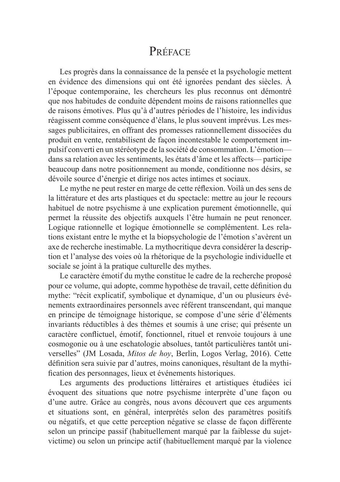## PRÉFACE

Les progrès dans la connaissance de la pensée et la psychologie mettent en évidence des dimensions qui ont été ignorées pendant des siècles. À l'époque contemporaine, les chercheurs les plus reconnus ont démontré que nos habitudes de conduite dépendent moins de raisons rationnelles que de raisons émotives. Plus qu'à d'autres périodes de l'histoire, les individus réagissent comme conséquence d'élans, le plus souvent imprévus. Les messages publicitaires, en offrant des promesses rationnellement dissociées du produit en vente, rentabilisent de façon incontestable le comportement impulsif converti en un stéréotype de la société de consommation. L'émotion dans sa relation avec les sentiments, les états d'âme et les affects— participe beaucoup dans notre positionnement au monde, conditionne nos désirs, se dévoile source d'énergie et dirige nos actes intimes et sociaux.

Le mythe ne peut rester en marge de cette réflexion. Voilà un des sens de la littérature et des arts plastiques et du spectacle: mettre au jour le recours habituel de notre psychisme à une explication purement émotionnelle, qui permet la réussite des objectifs auxquels l'être humain ne peut renoncer. Logique rationnelle et logique émotionnelle se complémentent. Les relations existant entre le mythe et la biopsychologie de l'émotion s'avèrent un axe de recherche inestimable. La mythocritique devra considérer la description et l'analyse des voies où la rhétorique de la psychologie individuelle et sociale se joint à la pratique culturelle des mythes.

Le caractère émotif du mythe constitue le cadre de la recherche proposé pour ce volume, qui adopte, comme hypothèse de travail, cette définition du mythe: "récit explicatif, symbolique et dynamique, d'un ou plusieurs événements extraordinaires personnels avec référent transcendant, qui manque en principe de témoignage historique, se compose d'une série d'éléments invariants réductibles à des thèmes et soumis à une crise; qui présente un caractère conflictuel, émotif, fonctionnel, rituel et renvoie toujours à une cosmogonie ou à une eschatologie absolues, tantôt particulières tantôt universelles" (JM Losada, *Mitos de hoy*, Berlin, Logos Verlag, 2016). Cette définition sera suivie par d'autres, moins canoniques, résultant de la mythification des personnages, lieux et événements historiques.

Les arguments des productions littéraires et artistiques étudiées ici évoquent des situations que notre psychisme interprète d'une façon ou d'une autre. Grâce au congrès, nous avons découvert que ces arguments et situations sont, en général, interprétés selon des paramètres positifs ou négatifs, et que cette perception négative se classe de façon différente selon un principe passif (habituellement marqué par la faiblesse du sujetvictime) ou selon un principe actif (habituellement marqué par la violence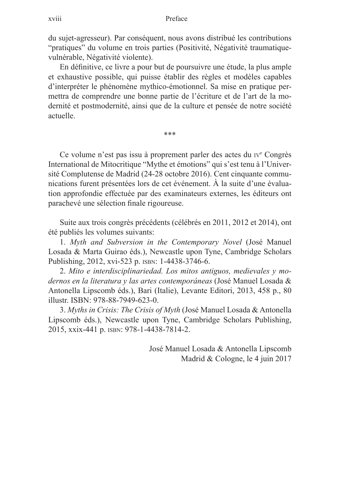du sujet-agresseur). Par conséquent, nous avons distribué les contributions "pratiques" du volume en trois parties (Positivité, Négativité traumatiquevulnérable, Négativité violente).

En définitive, ce livre a pour but de poursuivre une étude, la plus ample et exhaustive possible, qui puisse établir des règles et modèles capables d'interpréter le phénomène mythico-émotionnel. Sa mise en pratique permettra de comprendre une bonne partie de l'écriture et de l'art de la modernité et postmodernité, ainsi que de la culture et pensée de notre société actuelle.

\*\*\*

Ce volume n'est pas issu à proprement parler des actes du iv<sup>e</sup> Congrès International de Mitocritique "Mythe et émotions" qui s'est tenu à l'Université Complutense de Madrid (24-28 octobre 2016). Cent cinquante communications furent présentées lors de cet événement. À la suite d'une évaluation approfondie effectuée par des examinateurs externes, les éditeurs ont parachevé une sélection finale rigoureuse.

Suite aux trois congrès précédents (célébrés en 2011, 2012 et 2014), ont été publiés les volumes suivants:

1. *Myth and Subversion in the Contemporary Novel* (José Manuel Losada & Marta Guirao éds.), Newcastle upon Tyne, Cambridge Scholars Publishing, 2012, xvi-523 p. ISBN: 1-4438-3746-6.

2. *Mito e interdisciplinariedad. Los mitos antiguos, medievales y modernos en la literatura y las artes contemporáneas* (José Manuel Losada & Antonella Lipscomb éds.), Bari (Italie), Levante Editori, 2013, 458 p., 80 illustr. ISBN: 978-88-7949-623-0.

3. *Myths in Crisis: The Crisis of Myth* (José Manuel Losada & Antonella Lipscomb éds.), Newcastle upon Tyne, Cambridge Scholars Publishing, 2015, xxix-441 p. isbn: 978-1-4438-7814-2.

> José Manuel Losada & Antonella Lipscomb Madrid & Cologne, le 4 juin 2017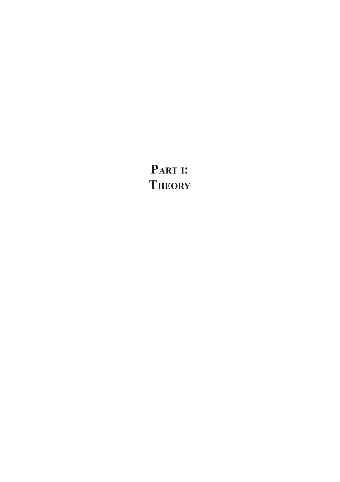**Part i: Theory**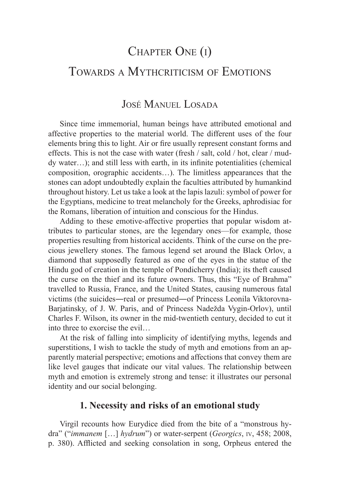# CHAPTER ONE (I) TOWARDS A MYTHCRITICISM OF EMOTIONS

### José Manuel Losada

Since time immemorial, human beings have attributed emotional and affective properties to the material world. The different uses of the four elements bring this to light. Air or fire usually represent constant forms and effects. This is not the case with water (fresh / salt, cold / hot, clear / muddy water…); and still less with earth, in its infinite potentialities (chemical composition, orographic accidents…). The limitless appearances that the stones can adopt undoubtedly explain the faculties attributed by humankind throughout history. Let us take a look at the lapis lazuli: symbol of power for the Egyptians, medicine to treat melancholy for the Greeks, aphrodisiac for the Romans, liberation of intuition and conscious for the Hindus.

Adding to these emotive-affective properties that popular wisdom attributes to particular stones, are the legendary ones—for example, those properties resulting from historical accidents. Think of the curse on the precious jewellery stones. The famous legend set around the Black Orlov, a diamond that supposedly featured as one of the eyes in the statue of the Hindu god of creation in the temple of Pondicherry (India); its theft caused the curse on the thief and its future owners. Thus, this "Eye of Brahma" travelled to Russia, France, and the United States, causing numerous fatal victims (the suicides―real or presumed―of Princess Leonila Viktorovna-Barjatinsky, of J. W. Paris, and of Princess Nadežda Vygin-Orlov), until Charles F. Wilson, its owner in the mid-twentieth century, decided to cut it into three to exorcise the evil…

At the risk of falling into simplicity of identifying myths, legends and superstitions, I wish to tackle the study of myth and emotions from an apparently material perspective; emotions and affections that convey them are like level gauges that indicate our vital values. The relationship between myth and emotion is extremely strong and tense: it illustrates our personal identity and our social belonging.

### **1. Necessity and risks of an emotional study**

Virgil recounts how Eurydice died from the bite of a "monstrous hydra" ("*immanem* […] *hydrum*") or water-serpent (*Georgics*, iv, 458; 2008, p. 380). Afflicted and seeking consolation in song, Orpheus entered the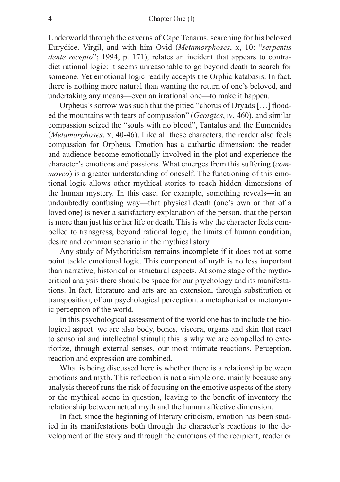#### 4 Chapter One (I)

Underworld through the caverns of Cape Tenarus, searching for his beloved Eurydice. Virgil, and with him Ovid (*Metamorphoses*, x, 10: "*serpentis dente recepto*"; 1994, p. 171), relates an incident that appears to contradict rational logic: it seems unreasonable to go beyond death to search for someone. Yet emotional logic readily accepts the Orphic katabasis. In fact, there is nothing more natural than wanting the return of one's beloved, and undertaking any means—even an irrational one—to make it happen.

Orpheus's sorrow was such that the pitied "chorus of Dryads […] flooded the mountains with tears of compassion" (*Georgics*, iv, 460), and similar compassion seized the "souls with no blood", Tantalus and the Eumenides (*Metamorphoses*, x, 40-46). Like all these characters, the reader also feels compassion for Orpheus. Emotion has a cathartic dimension: the reader and audience become emotionally involved in the plot and experience the character's emotions and passions. What emerges from this suffering (*commoveo*) is a greater understanding of oneself. The functioning of this emotional logic allows other mythical stories to reach hidden dimensions of the human mystery. In this case, for example, something reveals―in an undoubtedly confusing way―that physical death (one's own or that of a loved one) is never a satisfactory explanation of the person, that the person is more than just his or her life or death. This is why the character feels compelled to transgress, beyond rational logic, the limits of human condition, desire and common scenario in the mythical story.

Any study of Mythcriticism remains incomplete if it does not at some point tackle emotional logic. This component of myth is no less important than narrative, historical or structural aspects. At some stage of the mythocritical analysis there should be space for our psychology and its manifestations. In fact, literature and arts are an extension, through substitution or transposition, of our psychological perception: a metaphorical or metonymic perception of the world.

In this psychological assessment of the world one has to include the biological aspect: we are also body, bones, viscera, organs and skin that react to sensorial and intellectual stimuli; this is why we are compelled to exteriorize, through external senses, our most intimate reactions. Perception, reaction and expression are combined.

What is being discussed here is whether there is a relationship between emotions and myth. This reflection is not a simple one, mainly because any analysis thereof runs the risk of focusing on the emotive aspects of the story or the mythical scene in question, leaving to the benefit of inventory the relationship between actual myth and the human affective dimension.

In fact, since the beginning of literary criticism, emotion has been studied in its manifestations both through the character's reactions to the development of the story and through the emotions of the recipient, reader or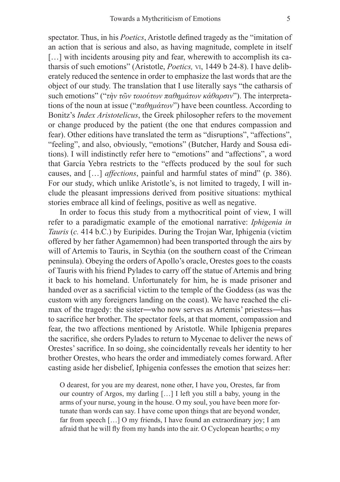spectator. Thus, in his *Poetics*, Aristotle defined tragedy as the "imitation of an action that is serious and also, as having magnitude, complete in itself [...] with incidents arousing pity and fear, wherewith to accomplish its catharsis of such emotions" (Aristotle, *Poetics,* vi, 1449 b 24-8). I have deliberately reduced the sentence in order to emphasize the last words that are the object of our study. The translation that I use literally says "the catharsis of such emotions" ("*τὴν τῶν τοιούτων παθημάτων κάθαρσιν*"). The interpretations of the noun at issue ("*παθημάτων*") have been countless. According to Bonitz's *Index Aristotelicus*, the Greek philosopher refers to the movement or change produced by the patient (the one that endures compassion and fear). Other editions have translated the term as "disruptions", "affections", "feeling", and also, obviously, "emotions" (Butcher, Hardy and Sousa editions). I will indistinctly refer here to "emotions" and "affections", a word that García Yebra restricts to the "effects produced by the soul for such causes, and […] *affections*, painful and harmful states of mind" (p. 386). For our study, which unlike Aristotle's, is not limited to tragedy, I will include the pleasant impressions derived from positive situations: mythical stories embrace all kind of feelings, positive as well as negative.

In order to focus this study from a mythocritical point of view, I will refer to a paradigmatic example of the emotional narrative: *Iphigenia in Tauris* (*c.* 414 b.C.) by Euripides. During the Trojan War, Iphigenia (victim offered by her father Agamemnon) had been transported through the airs by will of Artemis to Tauris, in Scythia (on the southern coast of the Crimean peninsula). Obeying the orders of Apollo's oracle, Orestes goes to the coasts of Tauris with his friend Pylades to carry off the statue of Artemis and bring it back to his homeland. Unfortunately for him, he is made prisoner and handed over as a sacrificial victim to the temple of the Goddess (as was the custom with any foreigners landing on the coast). We have reached the climax of the tragedy: the sister―who now serves as Artemis' priestess―has to sacrifice her brother. The spectator feels, at that moment, compassion and fear, the two affections mentioned by Aristotle. While Iphigenia prepares the sacrifice, she orders Pylades to return to Mycenae to deliver the news of Orestes' sacrifice. In so doing, she coincidentally reveals her identity to her brother Orestes, who hears the order and immediately comes forward. After casting aside her disbelief, Iphigenia confesses the emotion that seizes her:

O dearest, for you are my dearest, none other, I have you, Orestes, far from our country of Argos, my darling […] I left you still a baby, young in the arms of your nurse, young in the house. O my soul, you have been more fortunate than words can say. I have come upon things that are beyond wonder, far from speech […] O my friends, I have found an extraordinary joy; I am afraid that he will fly from my hands into the air. O Cyclopean hearths; o my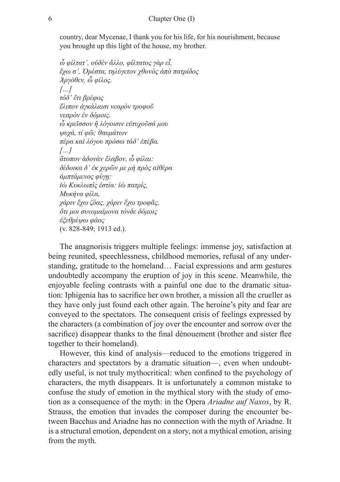country, dear Mycenae, I thank you for his life, for his nourishment, because you brought up this light of the house, my brother.

*ὦ φίλτατ᾽, οὐδὲν ἄλλο, φίλτατος γὰρ εἶ, ἔχω σ᾽, Ὀρέστα, τηλύγετον χθονὸς ἀπὸ πατρίδος Ἀργόθεν, ὦ φίλος. […] τόδ᾽ ἔτι βρέφος ἔλιπον ἀγκάλαισι νεαρὸν τροφοῦ νεαρὸν ἐν δόμοις. ὦ κρεῖσσον ἢ λόγοισιν εὐτυχοῦσά μου ψυχά, τί φῶ; θαυμάτων πέρα καὶ λόγου πρόσω τάδ᾽ ἐπέβα. […] ἄτοπον ἁδονὰν ἔλαβον, ὦ φίλαι: δέδοικα δ᾽ ἐκ χερῶν με μὴ πρὸς αἰθέρα ἀμπτάμενος φύγῃ: ἰὼ Κυκλωπὶς ἑστία: ἰὼ πατρίς, Μυκήνα φίλα, χάριν ἔχω ζόας, χάριν ἔχω τροφᾶς, ὅτι μοι συνομαίμονα τόνδε δόμοις ἐξεθρέψω φάος* (v. 828-849; 1913 ed.).

The anagnorisis triggers multiple feelings: immense joy, satisfaction at being reunited, speechlessness, childhood memories, refusal of any understanding, gratitude to the homeland… Facial expressions and arm gestures undoubtedly accompany the eruption of joy in this scene. Meanwhile, the enjoyable feeling contrasts with a painful one due to the dramatic situation: Iphigenia has to sacrifice her own brother, a mission all the crueller as they have only just found each other again. The heroine's pity and fear are conveyed to the spectators. The consequent crisis of feelings expressed by the characters (a combination of joy over the encounter and sorrow over the sacrifice) disappear thanks to the final dénouement (brother and sister flee together to their homeland).

However, this kind of analysis—reduced to the emotions triggered in characters and spectators by a dramatic situation—, even when undoubtedly useful, is not truly mythocritical: when confined to the psychology of characters, the myth disappears. It is unfortunately a common mistake to confuse the study of emotion in the mythical story with the study of emotion as a consequence of the myth: in the Opera *Ariadne auf Naxos*, by R. Strauss, the emotion that invades the composer during the encounter between Bacchus and Ariadne has no connection with the myth of Ariadne. It is a structural emotion, dependent on a story, not a mythical emotion, arising from the myth.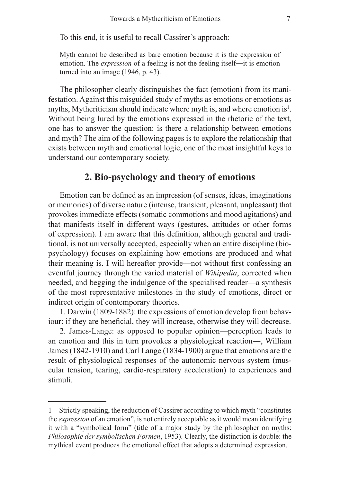To this end, it is useful to recall Cassirer's approach:

Myth cannot be described as bare emotion because it is the expression of emotion. The *expression* of a feeling is not the feeling itself—it is emotion turned into an image (1946, p. 43).

The philosopher clearly distinguishes the fact (emotion) from its manifestation. Against this misguided study of myths as emotions or emotions as myths, Mythcriticism should indicate where myth is, and where emotion is $<sup>1</sup>$ .</sup> Without being lured by the emotions expressed in the rhetoric of the text, one has to answer the question: is there a relationship between emotions and myth? The aim of the following pages is to explore the relationship that exists between myth and emotional logic, one of the most insightful keys to understand our contemporary society.

#### **2. Bio-psychology and theory of emotions**

Emotion can be defined as an impression (of senses, ideas, imaginations or memories) of diverse nature (intense, transient, pleasant, unpleasant) that provokes immediate effects (somatic commotions and mood agitations) and that manifests itself in different ways (gestures, attitudes or other forms of expression). I am aware that this definition, although general and traditional, is not universally accepted, especially when an entire discipline (biopsychology) focuses on explaining how emotions are produced and what their meaning is. I will hereafter provide—not without first confessing an eventful journey through the varied material of *Wikipedia*, corrected when needed, and begging the indulgence of the specialised reader—a synthesis of the most representative milestones in the study of emotions, direct or indirect origin of contemporary theories.

1. Darwin (1809-1882): the expressions of emotion develop from behaviour: if they are beneficial, they will increase, otherwise they will decrease.

2. James-Lange: as opposed to popular opinion—perception leads to an emotion and this in turn provokes a physiological reaction―, William James (1842-1910) and Carl Lange (1834-1900) argue that emotions are the result of physiological responses of the autonomic nervous system (muscular tension, tearing, cardio-respiratory acceleration) to experiences and stimuli.

<sup>1</sup> Strictly speaking, the reduction of Cassirer according to which myth "constitutes the *expression* of an emotion", is not entirely acceptable as it would mean identifying it with a "symbolical form" (title of a major study by the philosopher on myths: *Philosophie der symbolischen Formen*, 1953). Clearly, the distinction is double: the mythical event produces the emotional effect that adopts a determined expression.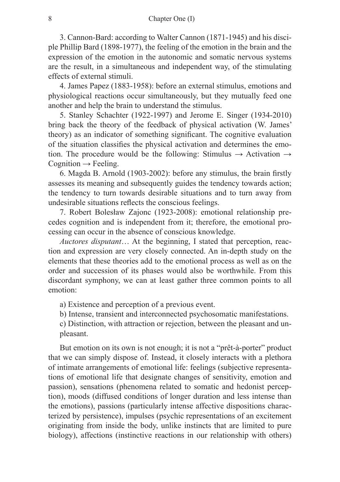3. Cannon-Bard: according to Walter Cannon (1871-1945) and his disciple Phillip Bard (1898-1977), the feeling of the emotion in the brain and the expression of the emotion in the autonomic and somatic nervous systems are the result, in a simultaneous and independent way, of the stimulating effects of external stimuli.

4. James Papez (1883-1958): before an external stimulus, emotions and physiological reactions occur simultaneously, but they mutually feed one another and help the brain to understand the stimulus.

5. Stanley Schachter (1922-1997) and Jerome E. Singer (1934-2010) bring back the theory of the feedback of physical activation (W. James' theory) as an indicator of something significant. The cognitive evaluation of the situation classifies the physical activation and determines the emotion. The procedure would be the following: Stimulus  $\rightarrow$  Activation  $\rightarrow$ Cognition  $\rightarrow$  Feeling.

6. Magda B. Arnold (1903-2002): before any stimulus, the brain firstly assesses its meaning and subsequently guides the tendency towards action; the tendency to turn towards desirable situations and to turn away from undesirable situations reflects the conscious feelings.

7. Robert Bolesław Zajonc (1923-2008): emotional relationship precedes cognition and is independent from it; therefore, the emotional processing can occur in the absence of conscious knowledge.

*Auctores disputant*… At the beginning, I stated that perception, reaction and expression are very closely connected. An in-depth study on the elements that these theories add to the emotional process as well as on the order and succession of its phases would also be worthwhile. From this discordant symphony, we can at least gather three common points to all emotion:

a) Existence and perception of a previous event.

b) Intense, transient and interconnected psychosomatic manifestations.

c) Distinction, with attraction or rejection, between the pleasant and unpleasant.

But emotion on its own is not enough; it is not a "prêt-à-porter" product that we can simply dispose of. Instead, it closely interacts with a plethora of intimate arrangements of emotional life: feelings (subjective representations of emotional life that designate changes of sensitivity, emotion and passion), sensations (phenomena related to somatic and hedonist perception), moods (diffused conditions of longer duration and less intense than the emotions), passions (particularly intense affective dispositions characterized by persistence), impulses (psychic representations of an excitement originating from inside the body, unlike instincts that are limited to pure biology), affections (instinctive reactions in our relationship with others)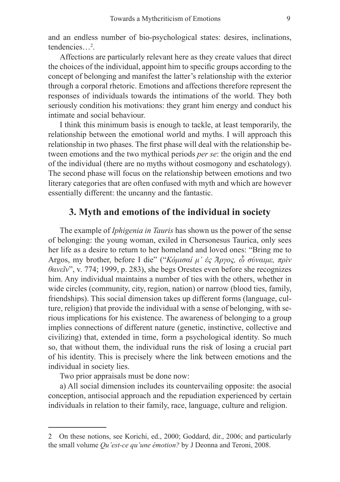and an endless number of bio-psychological states: desires, inclinations, tendencies…2 .

Affections are particularly relevant here as they create values that direct the choices of the individual, appoint him to specific groups according to the concept of belonging and manifest the latter's relationship with the exterior through a corporal rhetoric. Emotions and affections therefore represent the responses of individuals towards the intimations of the world. They both seriously condition his motivations: they grant him energy and conduct his intimate and social behaviour.

I think this minimum basis is enough to tackle, at least temporarily, the relationship between the emotional world and myths. I will approach this relationship in two phases. The first phase will deal with the relationship between emotions and the two mythical periods *per se*: the origin and the end of the individual (there are no myths without cosmogony and eschatology). The second phase will focus on the relationship between emotions and two literary categories that are often confused with myth and which are however essentially different: the uncanny and the fantastic.

#### **3. Myth and emotions of the individual in society**

The example of *Iphigenia in Tauris* has shown us the power of the sense of belonging: the young woman, exiled in Chersonesus Taurica, only sees her life as a desire to return to her homeland and loved ones: "Bring me to Argos, my brother, before I die" ("*Κόμισαί μ᾽ ἐς Ἄργος, ὦ σύναιμε, πρὶν θανεῖν*", v. 774; 1999, p. 283), she begs Orestes even before she recognizes him. Any individual maintains a number of ties with the others, whether in wide circles (community, city, region, nation) or narrow (blood ties, family, friendships). This social dimension takes up different forms (language, culture, religion) that provide the individual with a sense of belonging, with serious implications for his existence. The awareness of belonging to a group implies connections of different nature (genetic, instinctive, collective and civilizing) that, extended in time, form a psychological identity. So much so, that without them, the individual runs the risk of losing a crucial part of his identity. This is precisely where the link between emotions and the individual in society lies.

Two prior appraisals must be done now:

a) All social dimension includes its countervailing opposite: the asocial conception, antisocial approach and the repudiation experienced by certain individuals in relation to their family, race, language, culture and religion.

<sup>2</sup> On these notions, see Korichi, ed., 2000; Goddard, dir., 2006; and particularly the small volume *Qu'est-ce qu'une émotion?* by J Deonna and Teroni, 2008.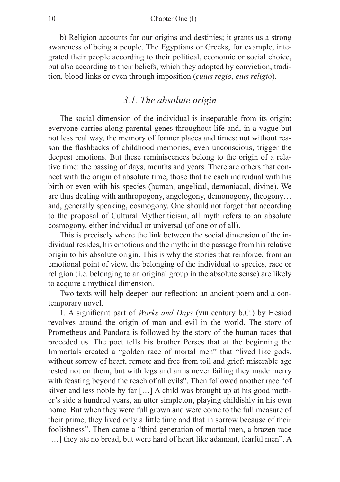b) Religion accounts for our origins and destinies; it grants us a strong awareness of being a people. The Egyptians or Greeks, for example, integrated their people according to their political, economic or social choice, but also according to their beliefs, which they adopted by conviction, tradition, blood links or even through imposition (*cuius regio*, *eius religio*).

#### *3.1. The absolute origin*

The social dimension of the individual is inseparable from its origin: everyone carries along parental genes throughout life and, in a vague but not less real way, the memory of former places and times: not without reason the flashbacks of childhood memories, even unconscious, trigger the deepest emotions. But these reminiscences belong to the origin of a relative time: the passing of days, months and years. There are others that connect with the origin of absolute time, those that tie each individual with his birth or even with his species (human, angelical, demoniacal, divine). We are thus dealing with anthropogony, angelogony, demonogony, theogony… and, generally speaking, cosmogony. One should not forget that according to the proposal of Cultural Mythcriticism, all myth refers to an absolute cosmogony, either individual or universal (of one or of all).

This is precisely where the link between the social dimension of the individual resides, his emotions and the myth: in the passage from his relative origin to his absolute origin. This is why the stories that reinforce, from an emotional point of view, the belonging of the individual to species, race or religion (i.e. belonging to an original group in the absolute sense) are likely to acquire a mythical dimension.

Two texts will help deepen our reflection: an ancient poem and a contemporary novel.

1. A significant part of *Works and Days* (viii century b.C.) by Hesiod revolves around the origin of man and evil in the world. The story of Prometheus and Pandora is followed by the story of the human races that preceded us. The poet tells his brother Perses that at the beginning the Immortals created a "golden race of mortal men" that "lived like gods, without sorrow of heart, remote and free from toil and grief: miserable age rested not on them; but with legs and arms never failing they made merry with feasting beyond the reach of all evils". Then followed another race "of silver and less noble by far […] A child was brought up at his good mother's side a hundred years, an utter simpleton, playing childishly in his own home. But when they were full grown and were come to the full measure of their prime, they lived only a little time and that in sorrow because of their foolishness". Then came a "third generation of mortal men, a brazen race [...] they ate no bread, but were hard of heart like adamant, fearful men". A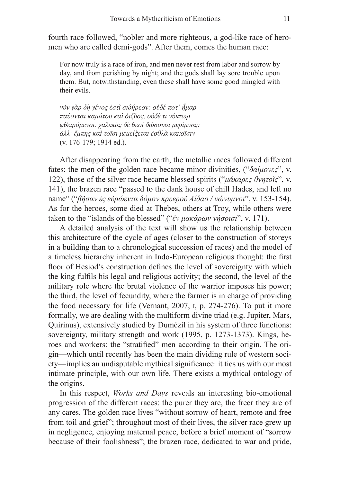fourth race followed, "nobler and more righteous, a god-like race of heromen who are called demi-gods". After them, comes the human race:

For now truly is a race of iron, and men never rest from labor and sorrow by day, and from perishing by night; and the gods shall lay sore trouble upon them. But, notwithstanding, even these shall have some good mingled with their evils.

*νῦν γὰρ δὴ γένος ἐστὶ σιδήρεον: οὐδέ ποτ᾽ ἦμαρ παύονται καμάτου καὶ ὀιζύος, οὐδέ τι νύκτωρ φθειρόμενοι. χαλεπὰς δὲ θεοὶ δώσουσι μερίμνας: ἀλλ᾽ ἔμπης καὶ τοῖσι μεμείξεται ἐσθλὰ κακοῖσιν* (v. 176-179; 1914 ed.).

After disappearing from the earth, the metallic races followed different fates: the men of the golden race became minor divinities, ("*δαίμονες*", v. 122), those of the silver race became blessed spirits ("*μάκαρες θνητοῖς*", v. 141), the brazen race "passed to the dank house of chill Hades, and left no name" ("*βῆσαν ἐς εὐρώεντα δόμον κρυεροῦ Αίδαο / νώνυμνοι*", v. 153-154). As for the heroes, some died at Thebes, others at Troy, while others were taken to the "islands of the blessed" ("*ἐν μακάρων νήσοισι*", v. 171).

A detailed analysis of the text will show us the relationship between this architecture of the cycle of ages (closer to the construction of storeys in a building than to a chronological succession of races) and the model of a timeless hierarchy inherent in Indo-European religious thought: the first floor of Hesiod's construction defines the level of sovereignty with which the king fulfils his legal and religious activity; the second, the level of the military role where the brutal violence of the warrior imposes his power; the third, the level of fecundity, where the farmer is in charge of providing the food necessary for life (Vernant, 2007, i, p. 274-276). To put it more formally, we are dealing with the multiform divine triad (e.g. Jupiter, Mars, Quirinus), extensively studied by Dumézil in his system of three functions: sovereignty, military strength and work (1995, p. 1273-1373). Kings, heroes and workers: the "stratified" men according to their origin. The origin—which until recently has been the main dividing rule of western society—implies an undisputable mythical significance: it ties us with our most intimate principle, with our own life. There exists a mythical ontology of the origins.

In this respect, *Works and Days* reveals an interesting bio-emotional progression of the different races: the purer they are, the freer they are of any cares. The golden race lives "without sorrow of heart, remote and free from toil and grief"; throughout most of their lives, the silver race grew up in negligence, enjoying maternal peace, before a brief moment of "sorrow because of their foolishness"; the brazen race, dedicated to war and pride,